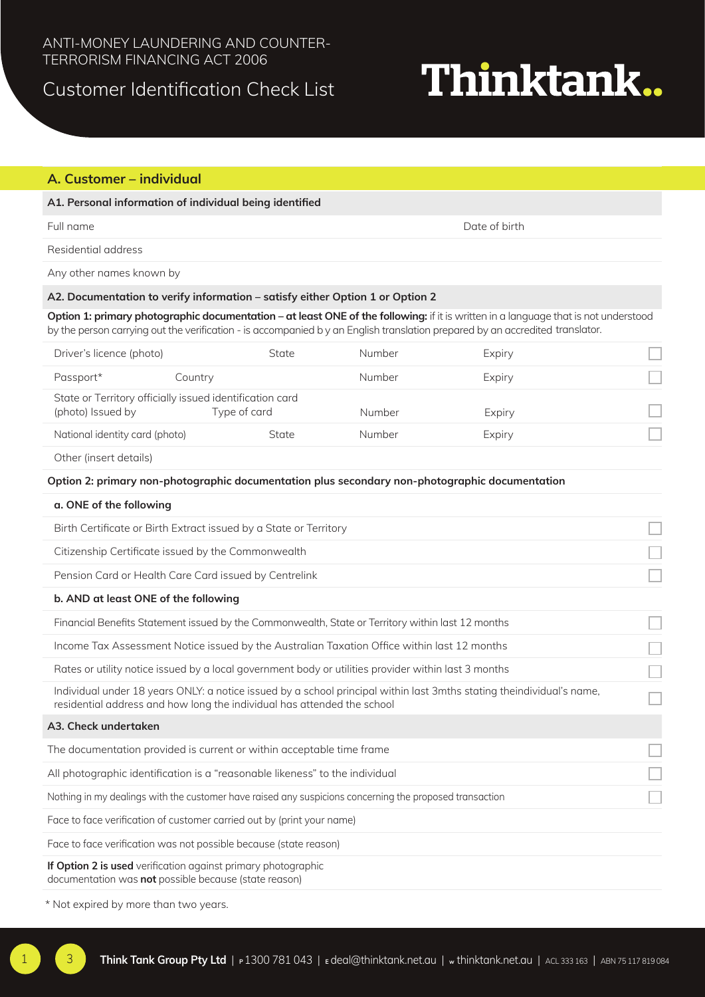## Customer Identification Check List

# Thinktank..

### **A. Customer – individual**

#### **A1. Personal information of individual being identified**

Full name Date of birth

Residential address

Any other names known by

#### **A2. Documentation to verify information – satisfy either Option 1 or Option 2**

**Option 1: primary photographic documentation – at least ONE of the following:** if it is written in a language that is not understood by the person carrying out the verification - is accompanied b y an English translation prepared by an accredited translator.

| Driver's licence (photo)       | State                                                                    | Number | Expiry |  |
|--------------------------------|--------------------------------------------------------------------------|--------|--------|--|
| Passport*                      | Country                                                                  | Number | Expiry |  |
| (photo) Issued by              | State or Territory officially issued identification card<br>Type of card | Number | Expiry |  |
| National identity card (photo) | State                                                                    | Number | Expiry |  |

Other (insert details)

#### **Option 2: primary non-photographic documentation plus secondary non-photographic documentation**

## **a. ONE of the following** Birth Certificate or Birth Extract issued by a State or Territory Citizenship Certificate issued by the Commonwealth Pension Card or Health Care Card issued by Centrelink **b. AND at least ONE of the following** Financial Benefits Statement issued by the Commonwealth, State or Territory within last 12 months Income Tax Assessment Notice issued by the Australian Taxation Office within last 12 months Rates or utility notice issued by a local government body or utilities provider within last 3 months Individual under 18 years ONLY: a notice issued by a school principal within last 3mths stating theindividual's name, residential address and how long the individual has attended the school **A3. Check undertaken** The documentation provided is current or within acceptable time frame All photographic identification is a "reasonable likeness" to the individual Nothing in my dealings with the customer have raised any suspicions concerning the proposed transaction Face to face verification of customer carried out by (print your name) Face to face verification was not possible because (state reason)

**If Option 2 is used** verification against primary photographic documentation was **not** possible because (state reason)

\* Not expired by more than two years.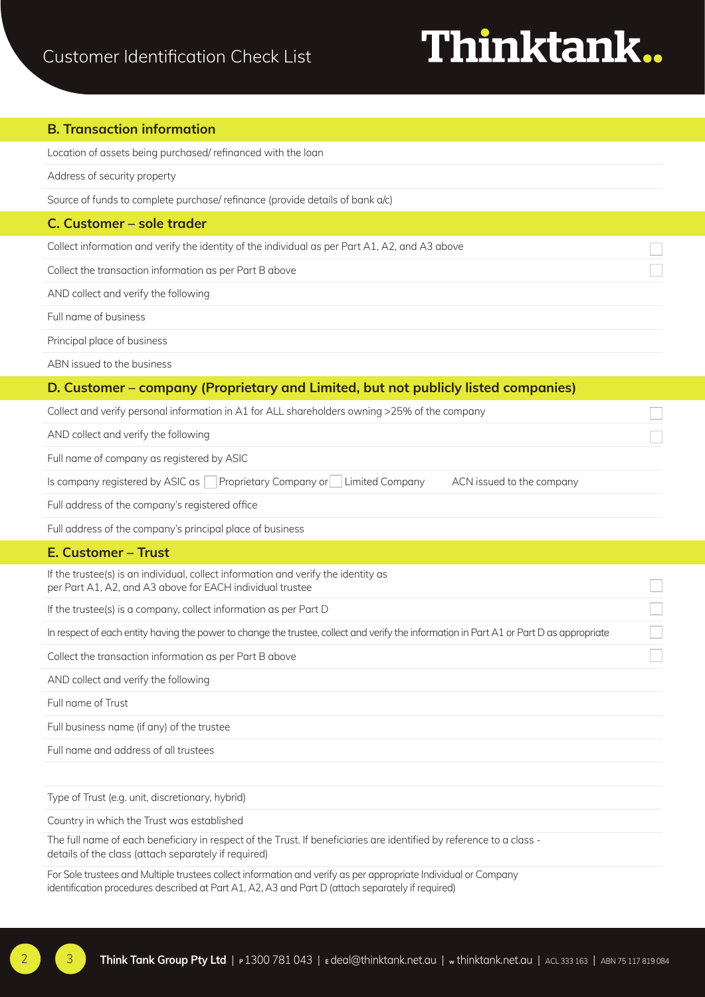# Thinktank..

#### **B. Transaction information**

Location of assets being purchased/ refinanced with the loan

Address of security property

Source of funds to complete purchase/ refinance (provide details of bank a/c)

#### **C. Customer – sole trader**

Collect information and verify the identity of the individual as per Part A1, A2, and A3 above

Collect the transaction information as per Part B above

AND collect and verify the following

Full name of business

Principal place of business

ABN issued to the business

### **D. Customer – company (Proprietary and Limited, but not publicly listed companies)**

| Collect and verify personal information in A1 for ALL shareholders owning >25% of the company        |  |  |  |
|------------------------------------------------------------------------------------------------------|--|--|--|
| AND collect and verify the following                                                                 |  |  |  |
| Full name of company as registered by ASIC                                                           |  |  |  |
| Is company registered by ASIC as Proprietary Company or Limited Company<br>ACN issued to the company |  |  |  |

Full address of the company's registered office

Full address of the company's principal place of business

#### **E. Customer – Trust**

If the trustee(s) is an individual, collect information and verify the identity as per Part A1, A2, and A3 above for EACH individual trustee

If the trustee(s) is a company, collect information as per Part D

In respect of each entity having the power to change the trustee, collect and verify the information in Part A1 or Part D as appropriate

Collect the transaction information as per Part B above

AND collect and verify the following

Full name of Trust

Full business name (if any) of the trustee

Full name and address of all trustees

Type of Trust (e.g. unit, discretionary, hybrid)

Country in which the Trust was established

The full name of each beneficiary in respect of the Trust. If beneficiaries are identified by reference to a class details of the class (attach separately if required)

For Sole trustees and Multiple trustees collect information and verify as per appropriate Individual or Company identification procedures described at Part A1, A2, A3 and Part D (attach separately if required)

2 3